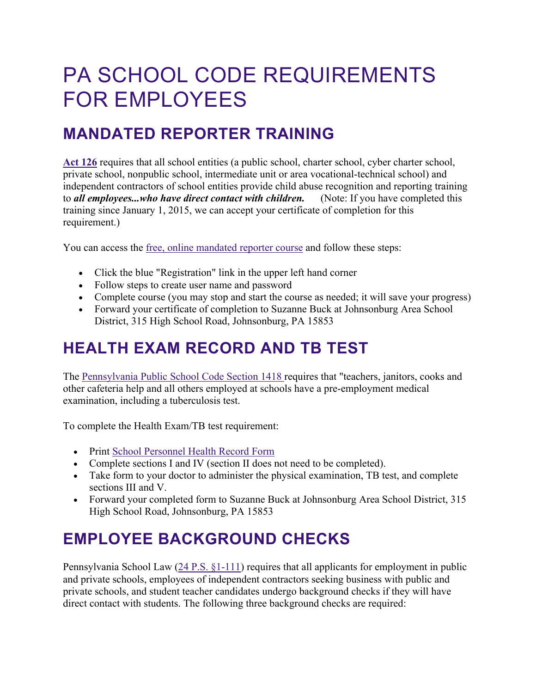# PA SCHOOL CODE REQUIREMENTS FOR EMPLOYEES

### **MANDATED REPORTER TRAINING**

**[Act 126](https://www.education.pa.gov/Schools/safeschools/laws/Pages/Act126.aspx)** requires that all school entities (a public school, charter school, cyber charter school, private school, nonpublic school, intermediate unit or area vocational-technical school) and independent contractors of school entities provide child abuse recognition and reporting training to *all employees...who have direct contact with children.* (Note: If you have completed this training since January 1, 2015, we can accept your certificate of completion for this requirement.)

You can access the [free, online mandated reporter course](https://www.reportabusepa.pitt.edu/webapps/portal/execute/tabs/tabAction?tab_tab_group_id=_91_1) and follow these steps:

- Click the blue "Registration" link in the upper left hand corner
- Follow steps to create user name and password
- Complete course (you may stop and start the course as needed; it will save your progress)
- Forward your certificate of completion to Suzanne Buck at Johnsonburg Area School District, 315 High School Road, Johnsonburg, PA 15853

# **HEALTH EXAM RECORD AND TB TEST**

The [Pennsylvania Public School Code Section 1418 r](https://www.legis.state.pa.us/cfdocs/legis/LI/uconsCheck.cfm?txtType=HTM&yr=1949&sessInd=0&smthLwInd=0&act=14&chpt=14&sctn=18&subsctn=0)equires that "teachers, janitors, cooks and other cafeteria help and all others employed at schools have a pre-employment medical examination, including a tuberculosis test.

To complete the Health Exam/TB test requirement:

- Print [School Personnel Health Record Form](https://www.health.pa.gov/topics/Documents/School%20Health/School%20Personnel%20Health%20Record.pdf)
- Complete sections I and IV (section II does not need to be completed).
- Take form to your doctor to administer the physical examination, TB test, and complete sections III and V.
- Forward your completed form to Suzanne Buck at Johnsonburg Area School District, 315 High School Road, Johnsonburg, PA 15853

# **EMPLOYEE BACKGROUND CHECKS**

Pennsylvania School Law ([24 P.S. §1-111\)](http://www.legis.state.pa.us/cfdocs/legis/LI/uconsCheck.cfm?txtType=HTM&yr=1949&sessInd=0&smthLwInd=0&act=14&chpt=1&sctn=11&subsctn=0) requires that all applicants for employment in public and private schools, employees of independent contractors seeking business with public and private schools, and student teacher candidates undergo background checks if they will have direct contact with students. The following three background checks are required: